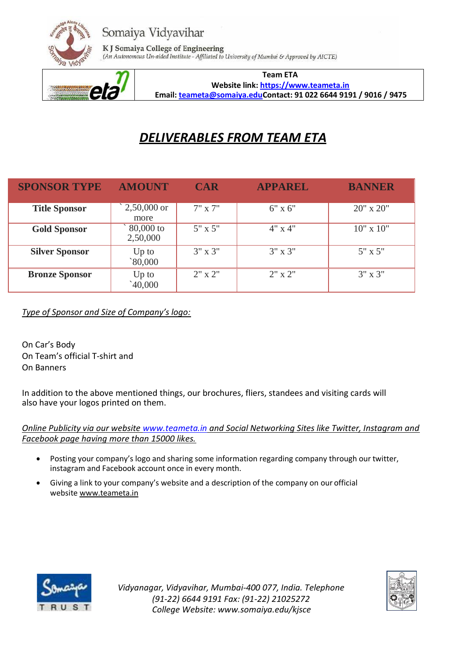



K J Somaiya College of Engineering (An Autonomous Un-aided Institute - Affiliated to University of Mumbai & Approved by AICTE)



**Team ETA Websit[e link: https://www.teameta.in](https://www.instagram.com/team_eta_) Emai[l: teameta@somaiya.eduC](mailto:teameta@somaiya.edu)ontact: 91 022 6644 9191 / 9016 / 9475**

# *DELIVERABLES FROM TEAM ETA*

| <b>SPONSOR TYPE</b>   | <b>AMOUNT</b>         | <b>CAR</b>       | <b>APPAREL</b>   | <b>BANNER</b>    |
|-----------------------|-----------------------|------------------|------------------|------------------|
| <b>Title Sponsor</b>  | $2,50,000$ or<br>more | $7" \times 7"$   | $6"$ x $6"$      | $20"$ x $20"$    |
| <b>Gold Sponsor</b>   | 80,000 to<br>2,50,000 | $5" \times 5"$   | $4" \times 4"$   | $10"$ x $10"$    |
| <b>Silver Sponsor</b> | $Up$ to<br>80,000     | $3'' \times 3''$ | $3'' \times 3''$ | $5" \times 5"$   |
| <b>Bronze Sponsor</b> | Up to<br>40,000       | $2" \times 2"$   | $2" \times 2"$   | $3'' \times 3''$ |

*Type of Sponsor and Size of Company's logo:*

On Car's Body On Team's official T-shirt and On Banners

In addition to the above mentioned things, our brochures, fliers, standees and visiting cards will also have your logos printed on them.

*Online Publicity via our website<www.teameta.in> and Social Networking Sites like Twitter, Instagram and Facebook page having more than 15000 likes.*

- Posting your company's logo and sharing some information regarding company through our twitter, instagram and Facebook account once in every month.
- Giving a link to your company's website and a description of the company on our official websit[e www.teameta.in](http://www.teameta.in/)



*Vidyanagar, Vidyavihar, Mumbai-400 077, India. Telephone (91-22) 6644 9191 Fax: (91-22) 21025272 College Website: [www.somaiya.edu/kjsce](http://www.somaiya.edu/kjsce)*